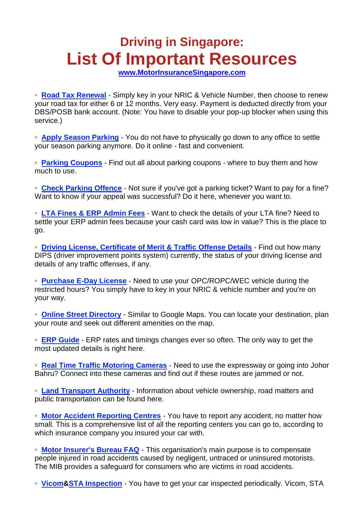## **Driving in Singapore: List Of Important Resources**

**[www.MotorInsuranceSingapore.com](http://www.motorinsurancesingapore.com/)**

◦ **[Road Tax Renewal](https://vrl.lta.gov.sg/lta/vrl/action/pubfunc?ID=RoadTaxEnquiry)** - Simply key in your NRIC & Vehicle Number, then choose to renew your road tax for either 6 or 12 months. Very easy. Payment is deducted directly from your DBS/POSB bank account. (Note: You have to disable your pop-up blocker when using this service.)

◦ **[Apply Season Parking](http://spring.ura.gov.sg/lad/ecas/motorist/st/st_intro.cfm)** - You do not have to physically go down to any office to settle your season parking anymore. Do it online - fast and convenient.

◦ **[Parking Coupons](http://spring.ura.gov.sg/lad/ecas/motorist/coupon.cfm#1)** - Find out all about parking coupons - where to buy them and how much to use.

◦ **[Check Parking Offence](http://spring.ura.gov.sg/lad/ecas/motorist/pon/pon_intro.cfm)** - Not sure if you've got a parking ticket? Want to pay for a fine? Want to know if your appeal was successful? Do it here, whenever you want to.

◦ **[LTA Fines & ERP Admin Fees](https://onepay.onemotoring.com.sg/onepay/erp/getRecord.do)** - Want to check the details of your LTA fine? Need to settle your ERP admin fees because your cash card was low in value? This is the place to go.

◦ **[Driving License, Certificate of Merit & Traffic Offense Details](https://www.psi.gov.sg/NASApp/tmf/TMFServlet?app=SPF-PTD-EDDIES-II&reload=true)** - Find out how many DIPS (driver improvement points system) currently, the status of your driving license and details of any traffic offenses, if any.

◦ **[Purchase E-Day License](https://vrl.lta.gov.sg/lta/vrl/action/pubfunc?ID=BuyEDayLicence)** - Need to use your OPC/ROPC/WEC vehicle during the restricted hours? You simply have to key in your NRIC & vehicle number and you're on your way.

◦ **[Online Street Directory](http://www.streetdirectory.com/)** - Similar to Google Maps. You can locate your destination, plan your route and seek out different amenities on the map.

◦ **[ERP Guide](http://www.onemotoring.com.sg/publish/onemotoring/en/on_the_roads/ERP_Rates.html)** - ERP rates and timings changes ever so often. The only way to get the most updated details is right here.

◦ **[Real Time Traffic Motoring Cameras](http://www.onemotoring.com.sg/publish/onemotoring/en/on_the_roads/traffic_cameras0.html)** - Need to use the expressway or going into Johor Bahru? Connect into these cameras and find out if these routes are jammed or not.

◦ **[Land Transport Authority](http://www.lta.gov.sg/)** - Information about vehicle ownership, road matters and public transportation can be found here.

◦ **[Motor Accident Reporting Centres](http://www.gia.org.sg/industry_motor_mcf.php)** - You have to report any accident, no matter how small. This is a comprehensive list of all the reporting centers you can go to, according to which insurance company you insured your car with.

◦ **[Motor Insurer's Bureau FAQ](http://www.gia.org.sg/consumer_mib.php)** - This organisation's main purpose is to compensate people injured in road accidents caused by negligent, untraced or uninsured motorists. The MIB provides a safeguard for consumers who are victims in road accidents.

◦ **[Vicom](http://www.vicom.com.sg/)[&STA Inspection](http://www.stai.com.sg/)** - You have to get your car inspected periodically. Vicom, STA